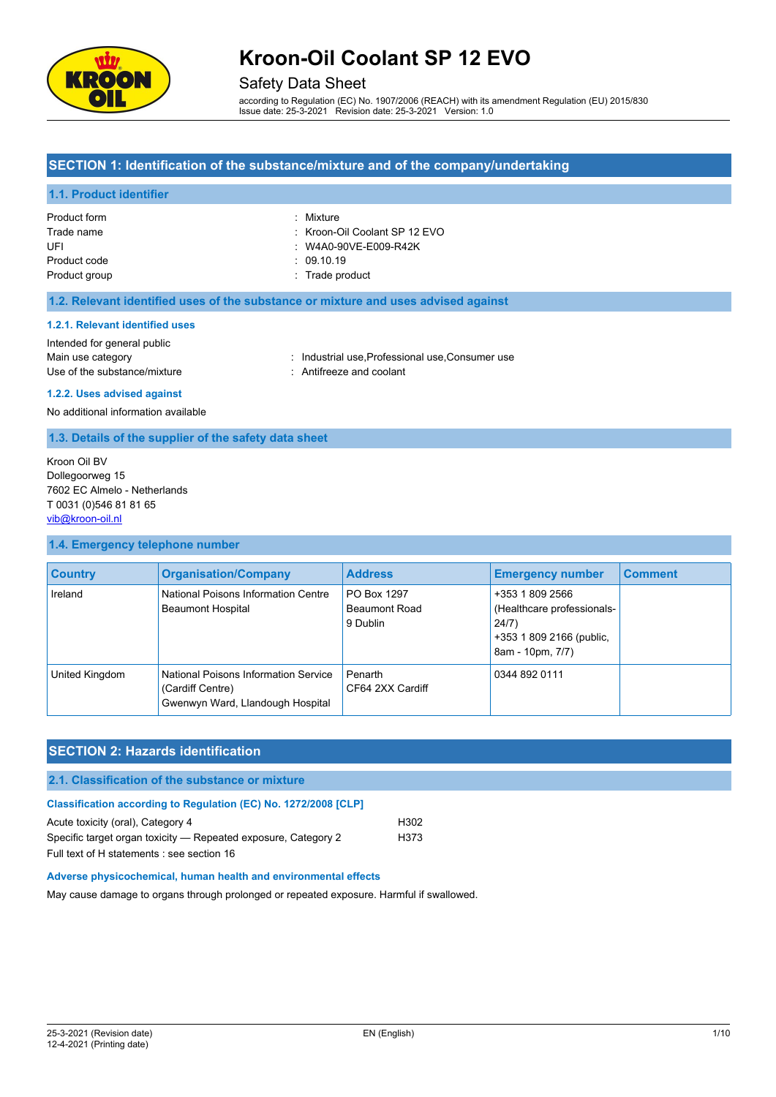

### Safety Data Sheet

according to Regulation (EC) No. 1907/2006 (REACH) with its amendment Regulation (EU) 2015/830 Issue date: 25-3-2021 Revision date: 25-3-2021 Version: 1.0

### **SECTION 1: Identification of the substance/mixture and of the company/undertaking**

### **1.1. Product identifier**

| Product form  | : Mixture                     |
|---------------|-------------------------------|
| Trade name    | : Kroon-Oil Coolant SP 12 EVO |
| UFL           | : W4A0-90VE-E009-R42K         |
| Product code  | : 09.10.19                    |
| Product group | : Trade product               |

#### **1.2. Relevant identified uses of the substance or mixture and uses advised against**

#### **1.2.1. Relevant identified uses**

| Intended for general public  |                                     |
|------------------------------|-------------------------------------|
| Main use category            | Industrial use Professic            |
| Use of the substance/mixture | $\therefore$ Antifreeze and coolant |

rial use,Professional use,Consumer use

#### **1.2.2. Uses advised against**

No additional information available

#### **1.3. Details of the supplier of the safety data sheet**

Kroon Oil BV Dollegoorweg 15 7602 EC Almelo - Netherlands T 0031 (0)546 81 81 65 [vib@kroon-oil.nl](mailto:vib@kroon-oil.nl)

#### **1.4. Emergency telephone number**

| <b>Country</b> | <b>Organisation/Company</b>                                                                  | <b>Address</b>                                  | <b>Emergency number</b>                                                                                | <b>Comment</b> |
|----------------|----------------------------------------------------------------------------------------------|-------------------------------------------------|--------------------------------------------------------------------------------------------------------|----------------|
| Ireland        | National Poisons Information Centre<br><b>Beaumont Hospital</b>                              | PO Box 1297<br><b>Beaumont Road</b><br>9 Dublin | +353 1 809 2566<br>(Healthcare professionals-<br>24/7)<br>+353 1 809 2166 (public,<br>8am - 10pm, 7/7) |                |
| United Kingdom | National Poisons Information Service<br>(Cardiff Centre)<br>Gwenwyn Ward, Llandough Hospital | Penarth<br>CF64 2XX Cardiff                     | 0344 892 0111                                                                                          |                |

# **SECTION 2: Hazards identification**

### **2.1. Classification of the substance or mixture**

| <b>Classification according to Regulation (EC) No. 1272/2008 [CLP]</b> |                  |
|------------------------------------------------------------------------|------------------|
| Acute toxicity (oral), Category 4                                      | H <sub>302</sub> |
| Specific target organ toxicity — Repeated exposure, Category 2         | H373             |
| Full text of H statements : see section 16                             |                  |

#### **Adverse physicochemical, human health and environmental effects**

May cause damage to organs through prolonged or repeated exposure. Harmful if swallowed.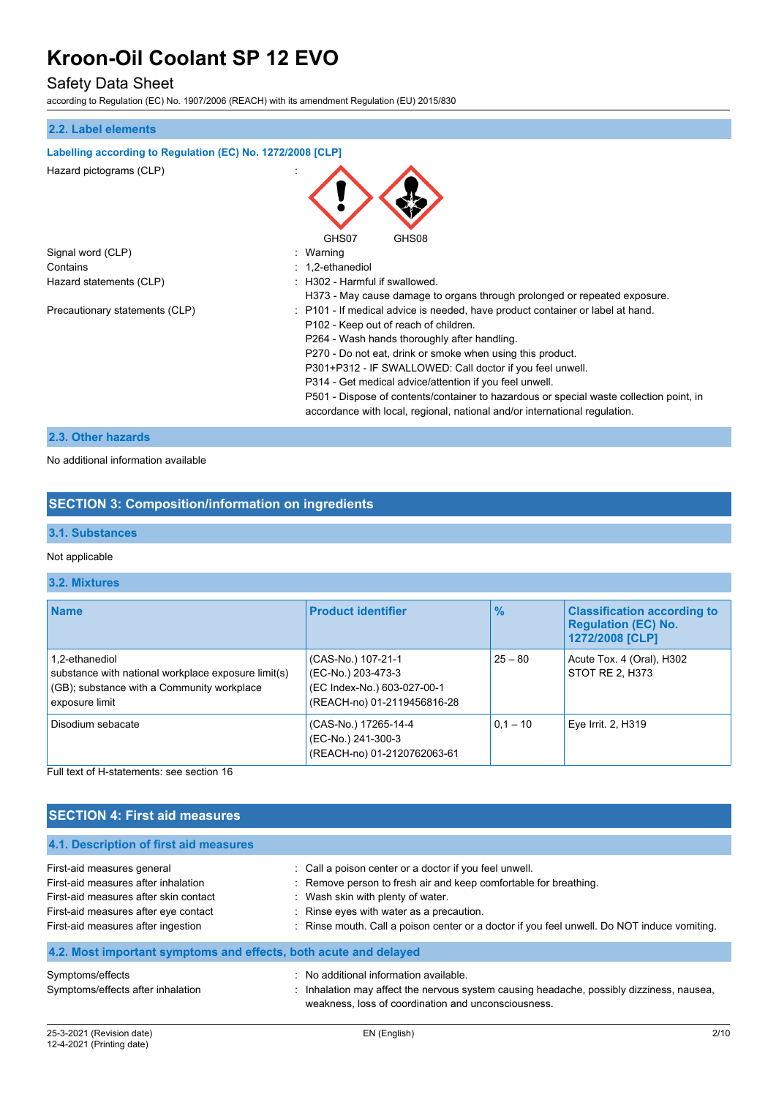## Safety Data Sheet

according to Regulation (EC) No. 1907/2006 (REACH) with its amendment Regulation (EU) 2015/830

# **2.2. Label elements Labelling according to Regulation (EC) No. 1272/2008 [CLP]** Hazard pictograms (CLP) : GHS07 GHS08 Signal word (CLP)  $\qquad \qquad$ : Warning Contains : 1,2-ethanediol Hazard statements (CLP)  $\qquad \qquad$ : H302 - Harmful if swallowed. H373 - May cause damage to organs through prolonged or repeated exposure. Precautionary statements (CLP) : P101 - If medical advice is needed, have product container or label at hand. P102 - Keep out of reach of children. P264 - Wash hands thoroughly after handling. P270 - Do not eat, drink or smoke when using this product. P301+P312 - IF SWALLOWED: Call doctor if you feel unwell. P314 - Get medical advice/attention if you feel unwell. P501 - Dispose of contents/container to hazardous or special waste collection point, in accordance with local, regional, national and/or international regulation.

### **2.3. Other hazards**

#### No additional information available

### **SECTION 3: Composition/information on ingredients**

#### **3.1. Substances**

#### Not applicable

#### **3.2. Mixtures**

| <b>Name</b>                                                                                                                           | <b>Product identifier</b>                                                                              | $\frac{9}{6}$ | <b>Classification according to</b><br><b>Regulation (EC) No.</b><br>1272/2008 [CLP] |
|---------------------------------------------------------------------------------------------------------------------------------------|--------------------------------------------------------------------------------------------------------|---------------|-------------------------------------------------------------------------------------|
| 1,2-ethanediol<br>substance with national workplace exposure limit(s)<br>(GB); substance with a Community workplace<br>exposure limit | (CAS-No.) 107-21-1<br>(EC-No.) 203-473-3<br>(EC Index-No.) 603-027-00-1<br>(REACH-no) 01-2119456816-28 | $25 - 80$     | Acute Tox. 4 (Oral), H302<br>STOT RE 2, H373                                        |
| Disodium sebacate                                                                                                                     | (CAS-No.) 17265-14-4<br>(EC-No.) 241-300-3<br>(REACH-no) 01-2120762063-61                              | $0.1 - 10$    | Eye Irrit. 2, H319                                                                  |

Full text of H-statements: see section 16

## **SECTION 4: First aid measures**

**4.1. Description of first aid measures**

| THE PUSSING INTO THE MINIMUM CONTROL                                                                                                                                                     |                                                                                                                                                                                                                                                                                                            |
|------------------------------------------------------------------------------------------------------------------------------------------------------------------------------------------|------------------------------------------------------------------------------------------------------------------------------------------------------------------------------------------------------------------------------------------------------------------------------------------------------------|
| First-aid measures general<br>First-aid measures after inhalation<br>First-aid measures after skin contact<br>First-aid measures after eye contact<br>First-aid measures after ingestion | : Call a poison center or a doctor if you feel unwell.<br>: Remove person to fresh air and keep comfortable for breathing.<br>: Wash skin with plenty of water.<br>: Rinse eyes with water as a precaution.<br>: Rinse mouth. Call a poison center or a doctor if you feel unwell. Do NOT induce vomiting. |
| 4.2. Most important symptoms and effects, both acute and delayed                                                                                                                         |                                                                                                                                                                                                                                                                                                            |
| Symptoms/effects<br>Symptoms/effects after inhalation                                                                                                                                    | : No additional information available.<br>Inhalation may affect the nervous system causing headache, possibly dizziness, nausea,<br>weakness, loss of coordination and unconsciousness.                                                                                                                    |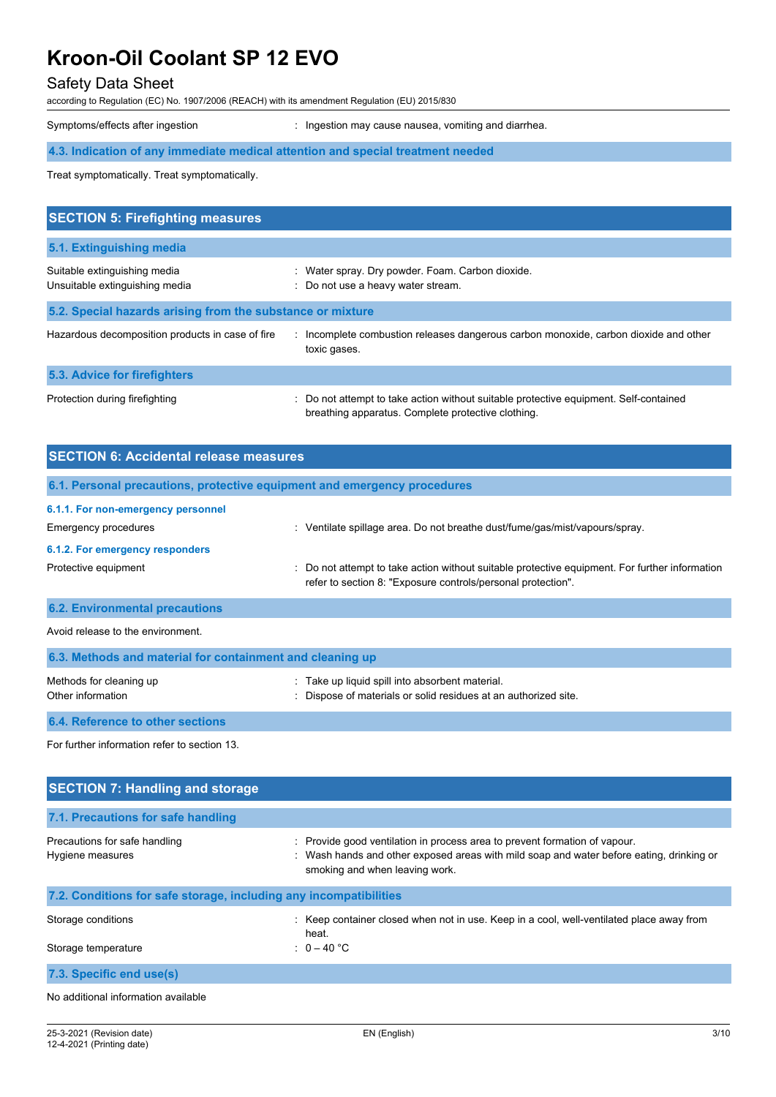# Safety Data Sheet

according to Regulation (EC) No. 1907/2006 (REACH) with its amendment Regulation (EU) 2015/830

Symptoms/effects after ingestion : Ingestion may cause nausea, vomiting and diarrhea.

# **4.3. Indication of any immediate medical attention and special treatment needed**

Treat symptomatically. Treat symptomatically.

| <b>SECTION 5: Firefighting measures</b>                        |                                                                                                                                             |  |  |  |  |
|----------------------------------------------------------------|---------------------------------------------------------------------------------------------------------------------------------------------|--|--|--|--|
| 5.1. Extinguishing media                                       |                                                                                                                                             |  |  |  |  |
| Suitable extinguishing media<br>Unsuitable extinguishing media | : Water spray. Dry powder. Foam. Carbon dioxide.<br>: Do not use a heavy water stream.                                                      |  |  |  |  |
| 5.2. Special hazards arising from the substance or mixture     |                                                                                                                                             |  |  |  |  |
| Hazardous decomposition products in case of fire               | : Incomplete combustion releases dangerous carbon monoxide, carbon dioxide and other<br>toxic gases.                                        |  |  |  |  |
| 5.3. Advice for firefighters                                   |                                                                                                                                             |  |  |  |  |
| Protection during firefighting                                 | : Do not attempt to take action without suitable protective equipment. Self-contained<br>breathing apparatus. Complete protective clothing. |  |  |  |  |

| <b>SECTION 6: Accidental release measures</b>                            |                                                                                                                                                                                                        |  |  |  |
|--------------------------------------------------------------------------|--------------------------------------------------------------------------------------------------------------------------------------------------------------------------------------------------------|--|--|--|
| 6.1. Personal precautions, protective equipment and emergency procedures |                                                                                                                                                                                                        |  |  |  |
| 6.1.1. For non-emergency personnel                                       |                                                                                                                                                                                                        |  |  |  |
| <b>Emergency procedures</b>                                              | : Ventilate spillage area. Do not breathe dust/fume/gas/mist/vapours/spray.                                                                                                                            |  |  |  |
| 6.1.2. For emergency responders                                          |                                                                                                                                                                                                        |  |  |  |
| Protective equipment                                                     | : Do not attempt to take action without suitable protective equipment. For further information<br>refer to section 8: "Exposure controls/personal protection".                                         |  |  |  |
| <b>6.2. Environmental precautions</b>                                    |                                                                                                                                                                                                        |  |  |  |
| Avoid release to the environment.                                        |                                                                                                                                                                                                        |  |  |  |
| 6.3. Methods and material for containment and cleaning up                |                                                                                                                                                                                                        |  |  |  |
| Methods for cleaning up<br>Other information                             | : Take up liquid spill into absorbent material.<br>: Dispose of materials or solid residues at an authorized site.                                                                                     |  |  |  |
| 6.4. Reference to other sections                                         |                                                                                                                                                                                                        |  |  |  |
| For further information refer to section 13.                             |                                                                                                                                                                                                        |  |  |  |
| <b>SECTION 7: Handling and storage</b>                                   |                                                                                                                                                                                                        |  |  |  |
| 7.1. Precautions for safe handling                                       |                                                                                                                                                                                                        |  |  |  |
| Precautions for safe handling<br>Hygiene measures                        | : Provide good ventilation in process area to prevent formation of vapour.<br>Wash hands and other exposed areas with mild soap and water before eating, drinking or<br>smoking and when leaving work. |  |  |  |

| 7.2. Conditions for safe storage, including any incompatibilities |                                                                                                   |  |  |  |  |
|-------------------------------------------------------------------|---------------------------------------------------------------------------------------------------|--|--|--|--|
| Storage conditions                                                | : Keep container closed when not in use. Keep in a cool, well-ventilated place away from<br>heat. |  |  |  |  |
| Storage temperature                                               | : $0-40\degree$ C                                                                                 |  |  |  |  |
| 7.3. Specific end use(s)                                          |                                                                                                   |  |  |  |  |
| No additional information available                               |                                                                                                   |  |  |  |  |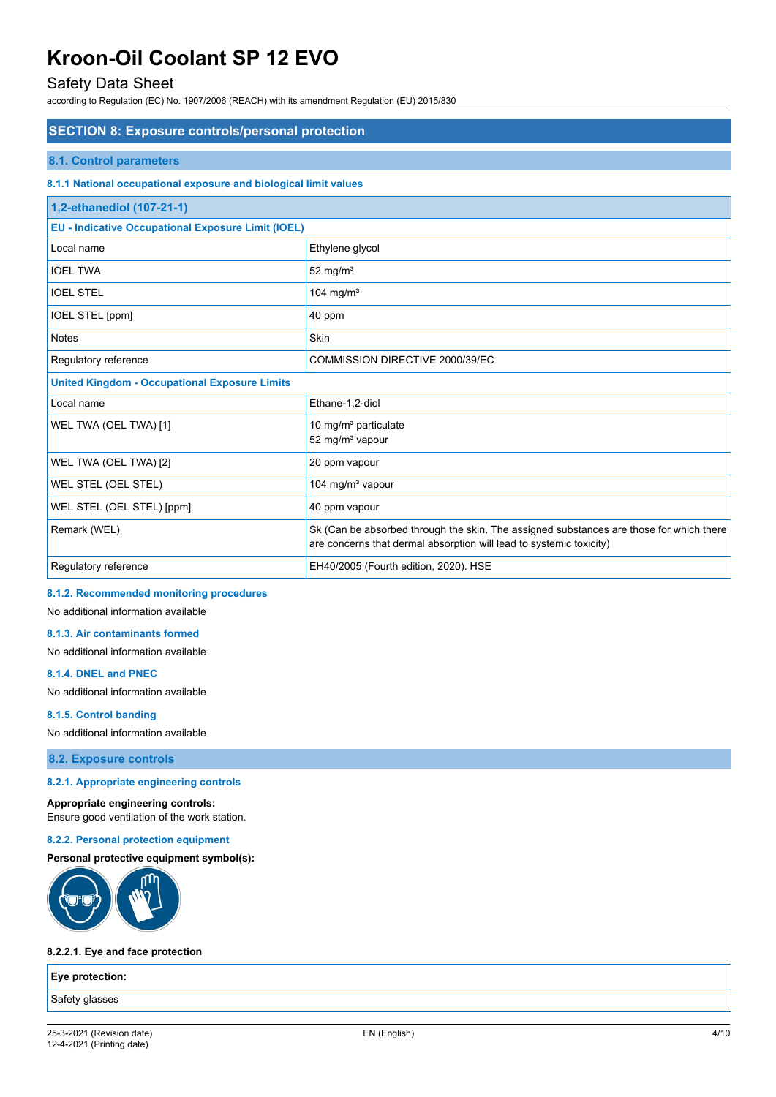## Safety Data Sheet

according to Regulation (EC) No. 1907/2006 (REACH) with its amendment Regulation (EU) 2015/830

#### **SECTION 8: Exposure controls/personal protection**

#### **8.1. Control parameters**

#### **8.1.1 National occupational exposure and biological limit values**

| 1,2-ethanediol (107-21-1)                                 |                                                                                                                                                                |  |  |
|-----------------------------------------------------------|----------------------------------------------------------------------------------------------------------------------------------------------------------------|--|--|
| <b>EU - Indicative Occupational Exposure Limit (IOEL)</b> |                                                                                                                                                                |  |  |
| Local name                                                | Ethylene glycol                                                                                                                                                |  |  |
| <b>IOEL TWA</b>                                           | 52 mg/m <sup>3</sup>                                                                                                                                           |  |  |
| <b>IOEL STEL</b>                                          | 104 mg/ $m3$                                                                                                                                                   |  |  |
| <b>IOEL STEL [ppm]</b>                                    | 40 ppm                                                                                                                                                         |  |  |
| <b>Notes</b>                                              | <b>Skin</b>                                                                                                                                                    |  |  |
| Regulatory reference                                      | COMMISSION DIRECTIVE 2000/39/EC                                                                                                                                |  |  |
| <b>United Kingdom - Occupational Exposure Limits</b>      |                                                                                                                                                                |  |  |
| Local name                                                | Ethane-1,2-diol                                                                                                                                                |  |  |
| WEL TWA (OEL TWA) [1]                                     | 10 mg/m <sup>3</sup> particulate<br>52 mg/m <sup>3</sup> vapour                                                                                                |  |  |
| WEL TWA (OEL TWA) [2]                                     | 20 ppm vapour                                                                                                                                                  |  |  |
| WEL STEL (OEL STEL)                                       | 104 mg/m <sup>3</sup> vapour                                                                                                                                   |  |  |
| WEL STEL (OEL STEL) [ppm]                                 | 40 ppm vapour                                                                                                                                                  |  |  |
| Remark (WEL)                                              | Sk (Can be absorbed through the skin. The assigned substances are those for which there<br>are concerns that dermal absorption will lead to systemic toxicity) |  |  |
| Regulatory reference                                      | EH40/2005 (Fourth edition, 2020). HSE                                                                                                                          |  |  |

## **8.1.2. Recommended monitoring procedures**

No additional information available

## **8.1.3. Air contaminants formed**

No additional information available

#### **8.1.4. DNEL and PNEC**

No additional information available

#### **8.1.5. Control banding**

No additional information available

**8.2. Exposure controls**

#### **8.2.1. Appropriate engineering controls**

#### **Appropriate engineering controls:**

Ensure good ventilation of the work station.

#### **8.2.2. Personal protection equipment**

#### **Personal protective equipment symbol(s):**



#### **8.2.2.1. Eye and face protection**

**Eye protection:**

Safety glasses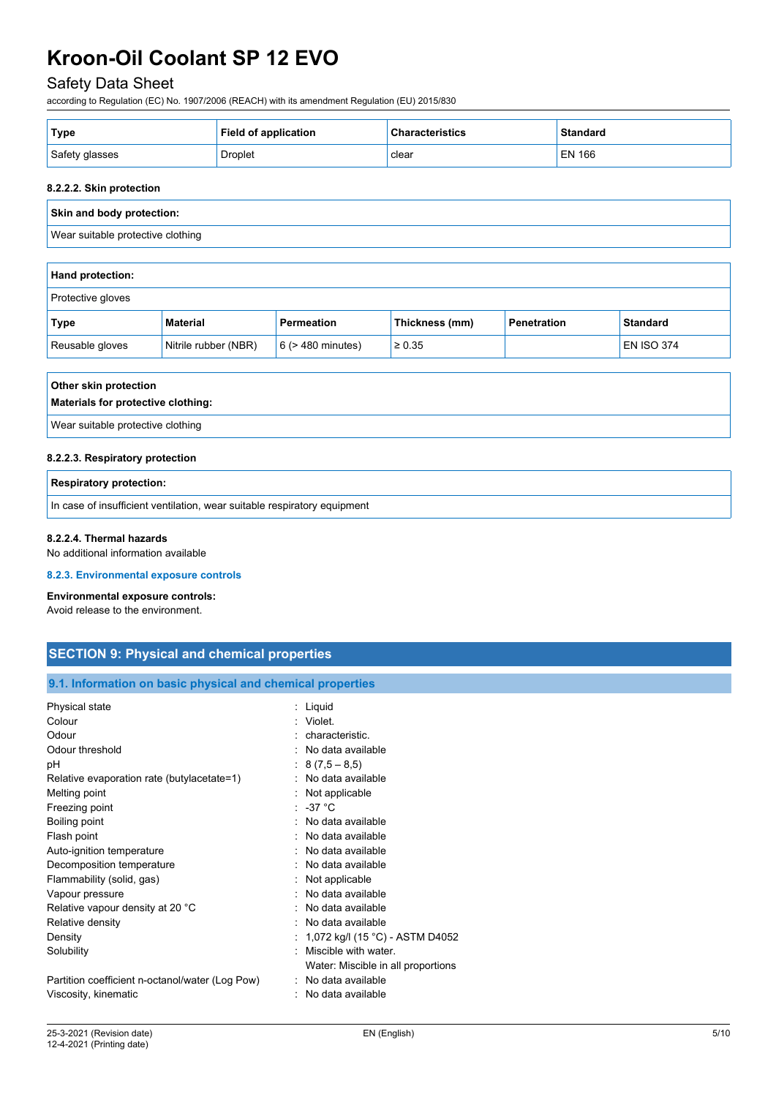# Safety Data Sheet

according to Regulation (EC) No. 1907/2006 (REACH) with its amendment Regulation (EU) 2015/830

| ' Type         | <b>Field of application</b> | <b>Characteristics</b> | <b>Standard</b> |
|----------------|-----------------------------|------------------------|-----------------|
| Safety glasses | Droplet                     | clear                  | EN 166          |

#### **8.2.2.2. Skin protection**

# **Skin and body protection:** Wear suitable protective clothing **Hand protection:**

| Protective gloves |                      |                        |                |             |                   |
|-------------------|----------------------|------------------------|----------------|-------------|-------------------|
| Type              | Material             | Permeation             | Thickness (mm) | Penetration | <b>Standard</b>   |
| Reusable gloves   | Nitrile rubber (NBR) | $6$ ( $>$ 480 minutes) | $\geq 0.35$    |             | <b>EN ISO 374</b> |

# **Other skin protection**

# **Materials for protective clothing:**

Wear suitable protective clothing

#### **8.2.2.3. Respiratory protection**

#### **Respiratory protection:**

In case of insufficient ventilation, wear suitable respiratory equipment

#### **8.2.2.4. Thermal hazards**

No additional information available

#### **8.2.3. Environmental exposure controls**

#### **Environmental exposure controls:**

Avoid release to the environment.

| <b>SECTION 9: Physical and chemical properties</b> |  |  |
|----------------------------------------------------|--|--|
|                                                    |  |  |

#### **9.1. Information on basic physical and chemical properties**

| Physical state                                  | : Liquid                           |
|-------------------------------------------------|------------------------------------|
| Colour                                          | : Violet.                          |
| Odour                                           | characteristic.                    |
| Odour threshold                                 | No data available                  |
| рH                                              | $: 8(7,5-8,5)$                     |
| Relative evaporation rate (butylacetate=1)      | : No data available                |
| Melting point                                   | : Not applicable                   |
| Freezing point                                  | : -37 $^{\circ}$ C                 |
| Boiling point                                   | No data available                  |
| Flash point                                     | . No data available                |
| Auto-ignition temperature                       | : No data available                |
| Decomposition temperature                       | : No data available                |
| Flammability (solid, gas)                       | Not applicable                     |
| Vapour pressure                                 | : No data available                |
| Relative vapour density at 20 °C                | No data available                  |
| Relative density                                | : No data available                |
| Density                                         | : 1,072 kg/l (15 °C) - ASTM D4052  |
| Solubility                                      | Miscible with water.               |
|                                                 | Water: Miscible in all proportions |
| Partition coefficient n-octanol/water (Log Pow) | : No data available                |
| Viscosity, kinematic                            | : No data available                |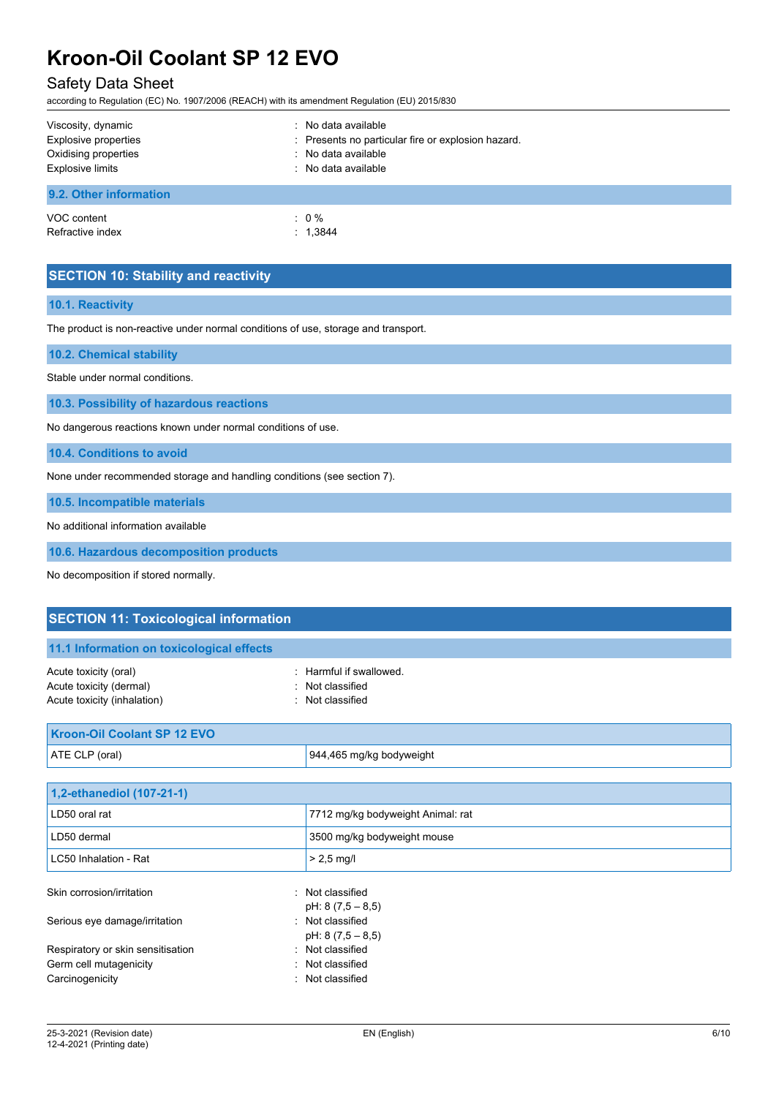# Safety Data Sheet

according to Regulation (EC) No. 1907/2006 (REACH) with its amendment Regulation (EU) 2015/830

| Viscosity, dynamic      | : No data available                                |
|-------------------------|----------------------------------------------------|
| Explosive properties    | : Presents no particular fire or explosion hazard. |
| Oxidising properties    | : No data available                                |
| <b>Explosive limits</b> | : No data available                                |
| 9.2. Other information  |                                                    |
| VOC content             | $: 0\%$                                            |
| Refractive index        | : 1,3844                                           |

## **SECTION 10: Stability and reactivity**

#### **10.1. Reactivity**

The product is non-reactive under normal conditions of use, storage and transport.

### **10.2. Chemical stability**

Stable under normal conditions.

**10.3. Possibility of hazardous reactions**

No dangerous reactions known under normal conditions of use.

**10.4. Conditions to avoid**

None under recommended storage and handling conditions (see section 7).

**10.5. Incompatible materials**

No additional information available

**10.6. Hazardous decomposition products**

No decomposition if stored normally.

| <b>SECTION 11: Toxicological information</b>                                    |                                                               |  |  |
|---------------------------------------------------------------------------------|---------------------------------------------------------------|--|--|
| 11.1 Information on toxicological effects                                       |                                                               |  |  |
| Acute toxicity (oral)<br>Acute toxicity (dermal)<br>Acute toxicity (inhalation) | : Harmful if swallowed.<br>Not classified<br>: Not classified |  |  |
| <b>Kroon-Oil Coolant SP 12 EVO</b>                                              |                                                               |  |  |
| ATE CLP (oral)                                                                  | 944,465 mg/kg bodyweight                                      |  |  |
|                                                                                 |                                                               |  |  |
| 1,2-ethanediol (107-21-1)                                                       |                                                               |  |  |
| LD50 oral rat                                                                   | 7712 mg/kg bodyweight Animal: rat                             |  |  |
| LD50 dermal                                                                     | 3500 mg/kg bodyweight mouse                                   |  |  |
| LC50 Inhalation - Rat                                                           | $> 2.5$ mg/l                                                  |  |  |
| Skin corrosion/irritation                                                       | : Not classified<br>pH: $8(7,5-8,5)$                          |  |  |
| Serious eye damage/irritation                                                   | : Not classified<br>pH: $8(7,5-8,5)$                          |  |  |
| Respiratory or skin sensitisation                                               | : Not classified                                              |  |  |
| Germ cell mutagenicity                                                          | : Not classified                                              |  |  |
| Carcinogenicity                                                                 | : Not classified                                              |  |  |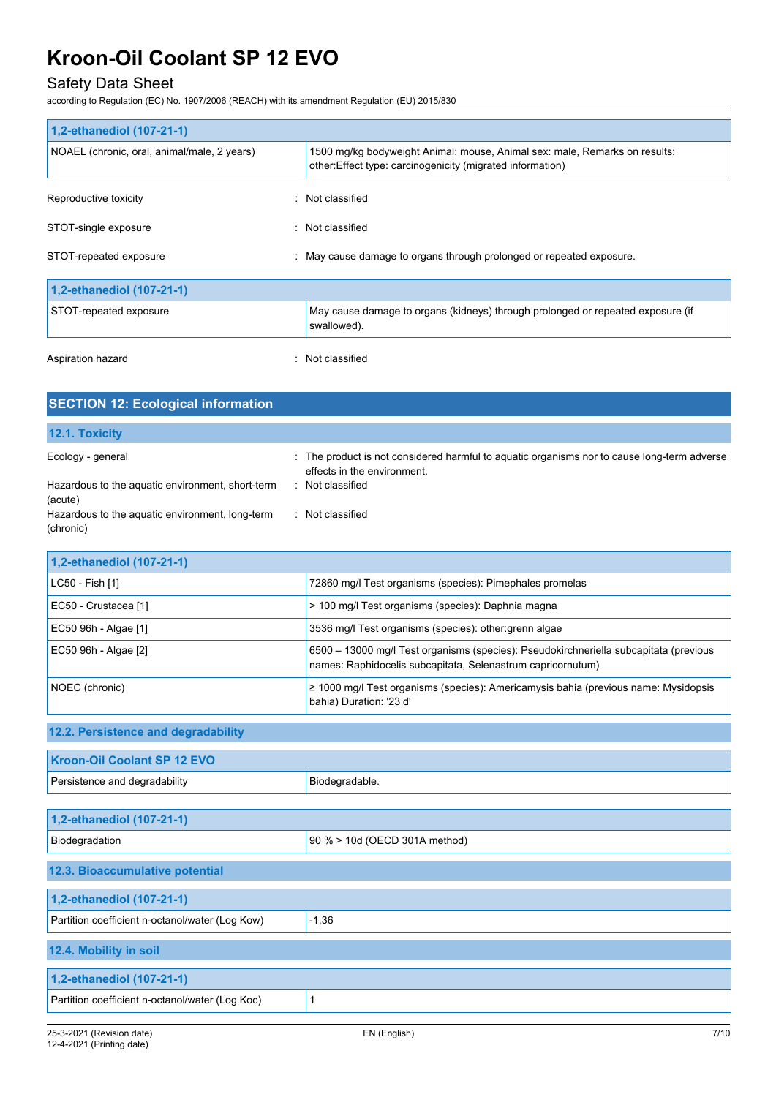# Safety Data Sheet

according to Regulation (EC) No. 1907/2006 (REACH) with its amendment Regulation (EU) 2015/830

| 1,2-ethanediol (107-21-1)                   |                                                                                                                                          |
|---------------------------------------------|------------------------------------------------------------------------------------------------------------------------------------------|
| NOAEL (chronic, oral, animal/male, 2 years) | 1500 mg/kg bodyweight Animal: mouse, Animal sex: male, Remarks on results:<br>other: Effect type: carcinogenicity (migrated information) |
| Reproductive toxicity                       | : Not classified                                                                                                                         |
| STOT-single exposure                        | : Not classified                                                                                                                         |
| STOT-repeated exposure                      | : May cause damage to organs through prolonged or repeated exposure.                                                                     |
| 1,2-ethanediol (107-21-1)                   |                                                                                                                                          |
| STOT-repeated exposure                      | May cause damage to organs (kidneys) through prolonged or repeated exposure (if<br>swallowed).                                           |
| Aspiration hazard                           | : Not classified                                                                                                                         |

| <b>SECTION 12: Ecological information</b>                    |                                                                                                                            |
|--------------------------------------------------------------|----------------------------------------------------------------------------------------------------------------------------|
|                                                              |                                                                                                                            |
| 12.1. Toxicity                                               |                                                                                                                            |
| Ecology - general                                            | : The product is not considered harmful to aquatic organisms nor to cause long-term adverse<br>effects in the environment. |
| Hazardous to the aquatic environment, short-term<br>(acute)  | Not classified                                                                                                             |
| Hazardous to the aquatic environment, long-term<br>(chronic) | Not classified                                                                                                             |

| 1,2-ethanediol (107-21-1) |                                                                                                                                                      |
|---------------------------|------------------------------------------------------------------------------------------------------------------------------------------------------|
| LC50 - Fish [1]           | 72860 mg/l Test organisms (species): Pimephales promelas                                                                                             |
| EC50 - Crustacea [1]      | > 100 mg/l Test organisms (species): Daphnia magna                                                                                                   |
| EC50 96h - Algae [1]      | 3536 mg/l Test organisms (species): other: grenn algae                                                                                               |
| EC50 96h - Algae [2]      | 6500 - 13000 mg/l Test organisms (species): Pseudokirchneriella subcapitata (previous<br>names: Raphidocelis subcapitata, Selenastrum capricornutum) |
| NOEC (chronic)            | $\geq$ 1000 mg/l Test organisms (species): Americamysis bahia (previous name: Mysidopsis<br>bahia) Duration: '23 d'                                  |

# **12.2. Persistence and degradability**

| <b>Kroon-Oil Coolant SP 12 EVO</b>              |                               |  |  |
|-------------------------------------------------|-------------------------------|--|--|
| Persistence and degradability                   | Biodegradable.                |  |  |
|                                                 |                               |  |  |
| 1,2-ethanediol (107-21-1)                       |                               |  |  |
| Biodegradation                                  | 90 % > 10d (OECD 301A method) |  |  |
| 12.3. Bioaccumulative potential                 |                               |  |  |
| 1,2-ethanediol (107-21-1)                       |                               |  |  |
| Partition coefficient n-octanol/water (Log Kow) | $-1,36$                       |  |  |
| 12.4. Mobility in soil                          |                               |  |  |
| 1,2-ethanediol (107-21-1)                       |                               |  |  |
| Partition coefficient n-octanol/water (Log Koc) |                               |  |  |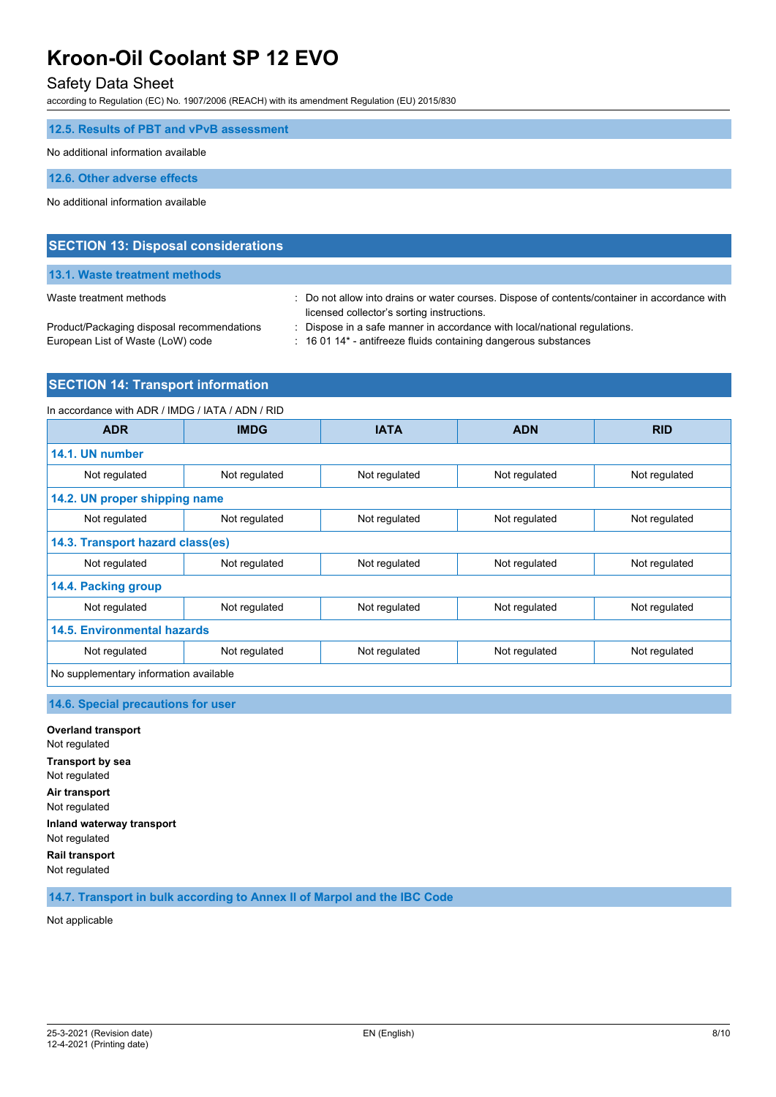## Safety Data Sheet

according to Regulation (EC) No. 1907/2006 (REACH) with its amendment Regulation (EU) 2015/830

| 12.5. Results of PBT and vPvB assessment |
|------------------------------------------|
| No additional information available      |
| 12.6. Other adverse effects              |
| No additional information available      |
|                                          |

| <b>SECTION 13: Disposal considerations</b> |                                                                                                                                             |
|--------------------------------------------|---------------------------------------------------------------------------------------------------------------------------------------------|
| 13.1. Waste treatment methods              |                                                                                                                                             |
| Waste treatment methods                    | : Do not allow into drains or water courses. Dispose of contents/container in accordance with<br>licensed collector's sorting instructions. |
| Product/Packaging disposal recommendations | : Dispose in a safe manner in accordance with local/national regulations.                                                                   |
| European List of Waste (LoW) code          | : 16 01 14* - antifreeze fluids containing dangerous substances                                                                             |

## **SECTION 14: Transport information**

| In accordance with ADR / IMDG / IATA / ADN / RID |               |               |               |               |
|--------------------------------------------------|---------------|---------------|---------------|---------------|
| <b>ADR</b>                                       | <b>IMDG</b>   | <b>IATA</b>   | <b>ADN</b>    | <b>RID</b>    |
| 14.1. UN number                                  |               |               |               |               |
| Not regulated                                    | Not regulated | Not regulated | Not regulated | Not regulated |
| 14.2. UN proper shipping name                    |               |               |               |               |
| Not regulated                                    | Not regulated | Not regulated | Not regulated | Not regulated |
| 14.3. Transport hazard class(es)                 |               |               |               |               |
| Not regulated                                    | Not regulated | Not regulated | Not regulated | Not regulated |
| 14.4. Packing group                              |               |               |               |               |
| Not regulated                                    | Not regulated | Not regulated | Not regulated | Not regulated |
| <b>14.5. Environmental hazards</b>               |               |               |               |               |
| Not regulated                                    | Not regulated | Not regulated | Not regulated | Not regulated |
| No supplementary information available           |               |               |               |               |

### **14.6. Special precautions for user**

**Overland transport** Not regulated **Transport by sea** Not regulated **Air transport** Not regulated **Inland waterway transport** Not regulated **Rail transport** Not regulated

**14.7. Transport in bulk according to Annex II of Marpol and the IBC Code**

Not applicable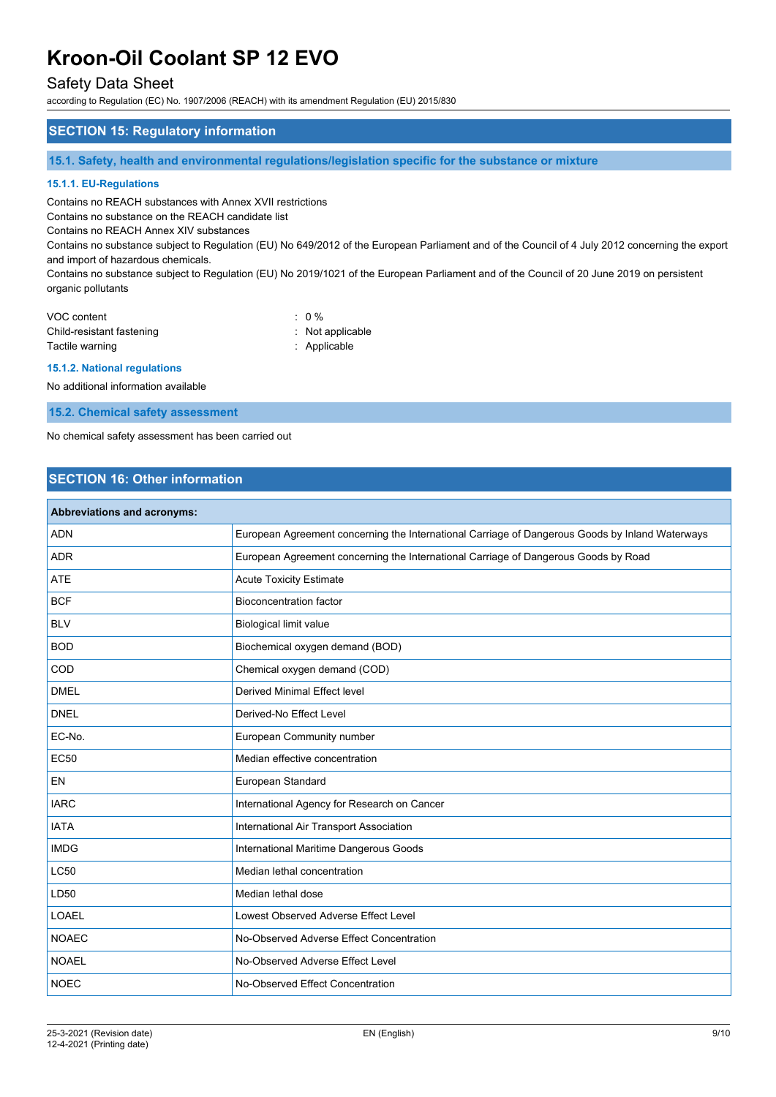## Safety Data Sheet

according to Regulation (EC) No. 1907/2006 (REACH) with its amendment Regulation (EU) 2015/830

### **SECTION 15: Regulatory information**

**15.1. Safety, health and environmental regulations/legislation specific for the substance or mixture**

#### **15.1.1. EU-Regulations**

Contains no REACH substances with Annex XVII restrictions

Contains no substance on the REACH candidate list

Contains no REACH Annex XIV substances

Contains no substance subject to Regulation (EU) No 649/2012 of the European Parliament and of the Council of 4 July 2012 concerning the export and import of hazardous chemicals.

Contains no substance subject to Regulation (EU) No 2019/1021 of the European Parliament and of the Council of 20 June 2019 on persistent organic pollutants

| VOC content               | $\therefore$ 0 % |
|---------------------------|------------------|
| Child-resistant fastening | : Not applicable |
| Tactile warning           | : Applicable     |

#### **15.1.2. National regulations**

No additional information available

**15.2. Chemical safety assessment**

No chemical safety assessment has been carried out

# **SECTION 16: Other information**

| <b>Abbreviations and acronyms:</b> |                                                                                                 |
|------------------------------------|-------------------------------------------------------------------------------------------------|
| <b>ADN</b>                         | European Agreement concerning the International Carriage of Dangerous Goods by Inland Waterways |
| <b>ADR</b>                         | European Agreement concerning the International Carriage of Dangerous Goods by Road             |
| <b>ATE</b>                         | <b>Acute Toxicity Estimate</b>                                                                  |
| <b>BCF</b>                         | <b>Bioconcentration factor</b>                                                                  |
| <b>BLV</b>                         | <b>Biological limit value</b>                                                                   |
| <b>BOD</b>                         | Biochemical oxygen demand (BOD)                                                                 |
| COD                                | Chemical oxygen demand (COD)                                                                    |
| <b>DMEL</b>                        | Derived Minimal Effect level                                                                    |
| <b>DNEL</b>                        | Derived-No Effect Level                                                                         |
| EC-No.                             | European Community number                                                                       |
| <b>EC50</b>                        | Median effective concentration                                                                  |
| <b>EN</b>                          | European Standard                                                                               |
| <b>IARC</b>                        | International Agency for Research on Cancer                                                     |
| <b>IATA</b>                        | International Air Transport Association                                                         |
| <b>IMDG</b>                        | International Maritime Dangerous Goods                                                          |
| <b>LC50</b>                        | Median lethal concentration                                                                     |
| LD50                               | Median lethal dose                                                                              |
| <b>LOAEL</b>                       | Lowest Observed Adverse Effect Level                                                            |
| <b>NOAEC</b>                       | No-Observed Adverse Effect Concentration                                                        |
| <b>NOAEL</b>                       | No-Observed Adverse Effect Level                                                                |
| <b>NOEC</b>                        | No-Observed Effect Concentration                                                                |